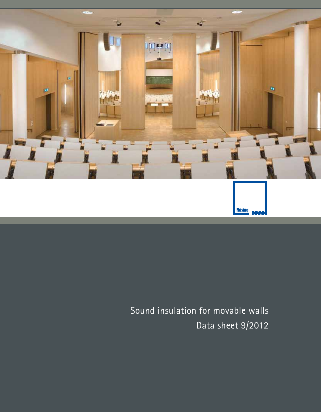

Sound insulation for movable walls Data sheet 9/2012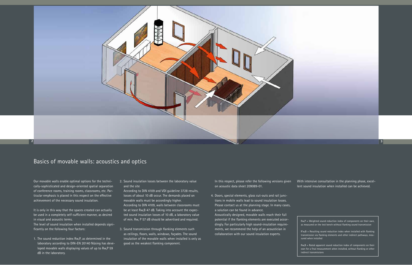Our movable walls enable optimal options for the technically-sophisticated and design-oriented spatial separation of conference rooms, training rooms, classrooms, etc. Particular emphasis is placed in this respect on the effective achievement of the necessary sound insulation.

It is only in this way that the spaces created can actually be used in a completely self-sufficient manner, as desired in visual and acoustic terms.

The level of sound insulation when installed depends significantly on the following four factors:

1. The sound reduction index Rw,P, as determined in the laboratory according to DIN-EN 20140 Nüsing has developed movable walls displaying values of up to Rw,P 59 dB in the laboratory.

2. Sound insulation losses between the laboratory value and the site

According to DIN 4109 and VDI guideline 3728 results, losses of about 10 dB occur. The demands placed on movable walls must be accordingly higher. According to DIN 4109, walls between classrooms must be at least Rw,B 47 dB. Taking into account the expected sound insulation losses of 10 dB, a laboratory value of min. Rw, P 57 dB should be advertised and required.

> $R'w, B$  = Resulting sound reduction index when installed with flanking transmission via flanking elements and other indirect pathways, measured when installed

3. Sound transmission through flanking elements such as ceilings, floors, walls, windows, façades. The sound insulation of the movable walls when installed is only as good as the weakest flanking component.

In this respect, please refer the following versions given on acoustic data sheet 209089-01.

4. Doors, special elements, glass cut-outs and rail junctions in mobile walls lead to sound insulation losses. Please contact us at the planning stage. In many cases, a solution can be found in advance.

Acoustically designed, movable walls reach their full potential if the flanking elements are executed accordingly. For particularly high sound-insulation requirements, we recommend the help of an acoustician in collaboration with our sound insulation experts.

With intensive consultation in the planning phase, excellent sound insulation when installed can be achieved.

## Basics of movable walls: acoustics and optics



Rw,P = Weighted sound reduction index of components on their own, as measured on the test bench without flanking sound transmission

Rw,B = Rated apparent sound reduction index of components on their own for a final measurement when installed, without flanking or other indirect transmissions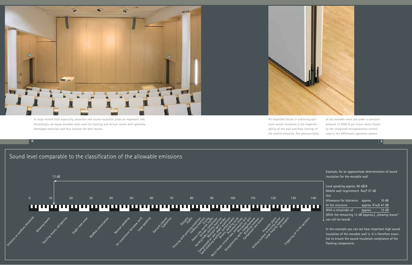

**4 5**

Loud speaking approx. 60 dB/A Mobile wall requirement Rw,P 57 dB less Allowance for tolerance approx. 10 dB At the structure approx. R'w, B 47 dB With a remainder of  $\qquad$  approx.  $\qquad$  13 dB (With the remaining 13 dB (approx.), "blowing leaves"

 $\vert$  can still be heard)

## Sound level comparable to the classification of the allowable emissions

Example, for an approximate determination of sound insulation for the movable wall



In this example you can see how important high sound insulation of the movable wall is. It is therefore essential to ensure the sound-insulation compliance of the flanking components.

In large lecture halls especially, acoustics and sound insulation plays an important role. Accordingly, we equip movable walls used for training and lecture rooms with speciallydeveloped materials and thus achieve the best results.

An important factor in achieving optimum sound insulation is the impermeability of the wall and floor closings of the mobile elements. The pressure balks

of our movable walls are under a constant pressure of 2000 N per linear metre thanks to the integrated microprocessor control used in the EASYmatic operation system.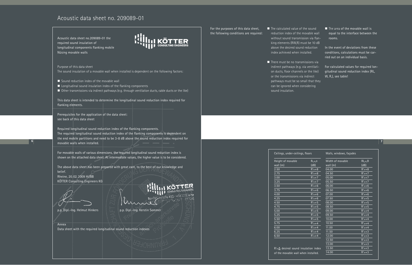For the purposes of this data sheet, the following conditions are required:  $\blacksquare$  The calculated value of the sound reduction index of the movable wall without sound transmission via flanking elements (RW,R) must be 10 dB above the desired sound reduction index achieved when installed.

 $\blacksquare$  There must be no transmissions via indirect pathways (e.g. via ventilation ducts, floor channels or the like) or the transmissions via indirect pathways must be so small that they can be ignored when considering sound insulation.

 $\blacksquare$  The area of the movable wall is equal to the interface between the rooms.

In the event of deviations from these conditions, calculations must be carried out on an individual basis.

For calculated values for required longitudinal sound reduction index (RL, W, R,), see table!

|               | <u>Walls, windows, façades</u> |         |  |
|---------------|--------------------------------|---------|--|
| w,R           | Width of movable               | RL,w,R  |  |
| B)            | wall (m)                       | (dB)    |  |
| w+8           | 04.00                          | $R'w+8$ |  |
| w+8           | 04.50                          | $R'w+7$ |  |
| w+7           | 05.00                          | $R'w+7$ |  |
| w+7           | 05.50                          | $R'w+7$ |  |
| м+6           | 06.00                          | $R'w+6$ |  |
| м+6           | 06.50                          | $R'w+6$ |  |
| м+6           | 07.00                          | $R'w+6$ |  |
| м+6           | 07.50                          | $R'w+5$ |  |
| м+5           | 08.00                          | $R'w+5$ |  |
| พ+5           | 08.50                          | $R'w+5$ |  |
| พ+5           | 09.00                          | $R'w+4$ |  |
| พ+5           | 09.50                          | $R'w+4$ |  |
| พ+5           | 10.00                          | $R'w+4$ |  |
| w+4           | 10.50                          | $R'w+4$ |  |
| w+4           | 11.00                          | $R'w+4$ |  |
| w+4           | 11.50                          | $R'w+3$ |  |
| w+4           | 12.00                          | $R'w+3$ |  |
|               | 12.50                          | $R'w+3$ |  |
|               | 13.00                          | $R'w+3$ |  |
| index         | 13.50                          | $R'w+3$ |  |
| <u>ll</u> ed. | 14.00                          | $R'w+3$ |  |

- Sound reduction index of the movable wall
- $\blacksquare$  Longitudinal sound insulation index of the flanking components
- Other transmissions via indirect pathways (e.g. through ventilation ducts, cable ducts or the like)

Ceilings, under-ceilings, floors

| Height of movable | $R_{L, W, R}$ |
|-------------------|---------------|
| wall $(m)$        | (dB)          |
|                   |               |

| wall $(m)$ | (dB)    |
|------------|---------|
| 2.50       | R'w+8   |
| 2.75       | R'w+8   |
| 3.00       | $R'w+7$ |
| 3.25       | $R'w+7$ |
| 3.50       | $R'w+6$ |
| 3.75       | R'w+6   |
| 4.00       | $R'w+6$ |
| 4.25       | R'w+6   |
| 4.50       | $R'w+5$ |
| 4.75       | $R'w+5$ |
| 5.00       | $R'w+5$ |
| 5.25       | $R'w+5$ |
| 5.50       | $R'w+5$ |
| 5.75       | $R'w+4$ |
| 6.00       | $R'w+4$ |
| 6.25       | $R'w+4$ |
| 6.50       | $R'w+4$ |

 $R'w \Delta$  desired sound insulation of the movable wall when insta

## Acoustic data sheet no. 209089-01

Acoustic data sheet no.209089-01 the required sound insulation of longitudinal components flanking mobile Nüsing movable walls



Purpose of this data sheet The sound insulation of a movable wall when installed is dependent on the following factors:

**6 7** Required longitudinal sound reduction index of the flanking components. The required longitudinal sound reduction index of the flanking components is dependent on the end mobile partitions and need to be 3-8 dB above the sound reduction index required for movable walls when installed.

This data sheet is intended to determine the longitudinal sound reduction index required for flanking elements.

Prerequisites for the application of the data sheet: see back of this data sheet

For movable walls of various dimensions, the required longitudinal sound reduction index is shown on the attached data sheet. At intermediate values, the higher value is to be considered.

The above data sheet has been prepared with great care, to the best of our knowledge and belief. Rheine, 20. 02. 2009 Hi/BB KÖTTER Consulting Engineers KG

p.p. Dipl.-Ing. Helmut Hinkers p.p. Dipl.-Ing. Kerstin Sommer

e 400 - 43433 ƙheir

Annex Data sheet with the required longitudinal sound reduction indexes